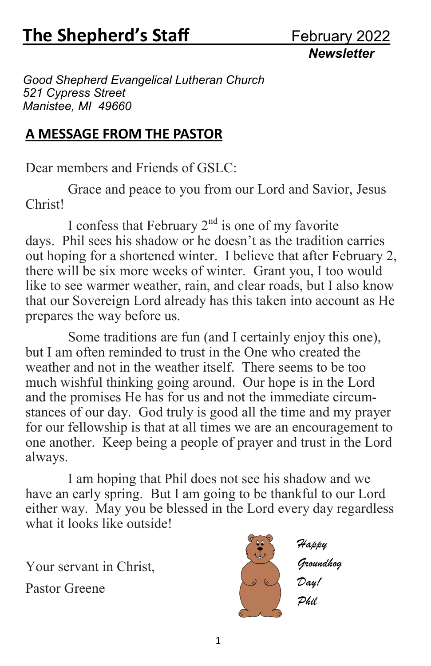*Newsletter* 

*Good Shepherd Evangelical Lutheran Church 521 Cypress Street Manistee, MI 49660*

#### **A MESSAGE FROM THE PASTOR**

Dear members and Friends of GSLC:

 Grace and peace to you from our Lord and Savior, Jesus Christ!

I confess that February  $2<sup>nd</sup>$  is one of my favorite days. Phil sees his shadow or he doesn't as the tradition carries out hoping for a shortened winter. I believe that after February 2, there will be six more weeks of winter. Grant you, I too would like to see warmer weather, rain, and clear roads, but I also know that our Sovereign Lord already has this taken into account as He prepares the way before us.

 Some traditions are fun (and I certainly enjoy this one), but I am often reminded to trust in the One who created the weather and not in the weather itself. There seems to be too much wishful thinking going around. Our hope is in the Lord and the promises He has for us and not the immediate circumstances of our day. God truly is good all the time and my prayer for our fellowship is that at all times we are an encouragement to one another. Keep being a people of prayer and trust in the Lord always.

 I am hoping that Phil does not see his shadow and we have an early spring. But I am going to be thankful to our Lord either way. May you be blessed in the Lord every day regardless what it looks like outside!

Your servant in Christ,

Pastor Greene



*Groundhog Day! Phil*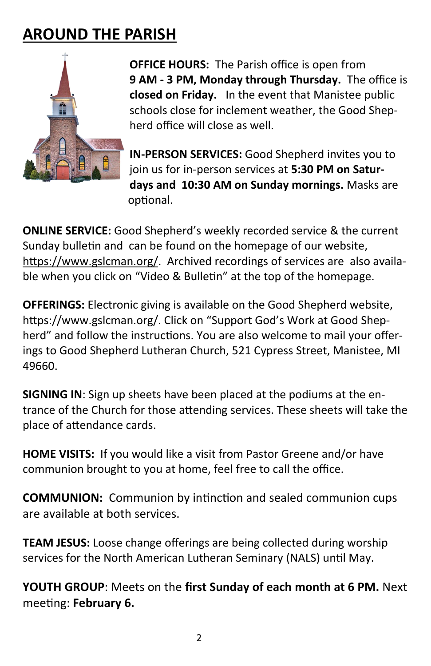### **AROUND THE PARISH**



**OFFICE HOURS:** The Parish office is open from **9 AM - 3 PM, Monday through Thursday.** The office is **closed on Friday.** In the event that Manistee public schools close for inclement weather, the Good Shepherd office will close as well.

**IN-PERSON SERVICES:** Good Shepherd invites you to join us for in-person services at **5:30 PM on Saturdays and 10:30 AM on Sunday mornings.** Masks are optional.

**ONLINE SERVICE:** Good Shepherd's weekly recorded service & the current Sunday bulletin and can be found on the homepage of our website, [https://www.gslcman.org/.](https://www.gslcman.org/) Archived recordings of services are also available when you click on "Video & Bulletin" at the top of the homepage.

**OFFERINGS:** Electronic giving is available on the Good Shepherd website, https://www.gslcman.org/. Click on "Support God's Work at Good Shepherd" and follow the instructions. You are also welcome to mail your offerings to Good Shepherd Lutheran Church, 521 Cypress Street, Manistee, MI 49660.

**SIGNING IN**: Sign up sheets have been placed at the podiums at the entrance of the Church for those attending services. These sheets will take the place of attendance cards.

**HOME VISITS:** If you would like a visit from Pastor Greene and/or have communion brought to you at home, feel free to call the office.

**COMMUNION:** Communion by intinction and sealed communion cups are available at both services.

**TEAM JESUS:** Loose change offerings are being collected during worship services for the North American Lutheran Seminary (NALS) until May.

**YOUTH GROUP**: Meets on the **first Sunday of each month at 6 PM.** Next meeting: **February 6.**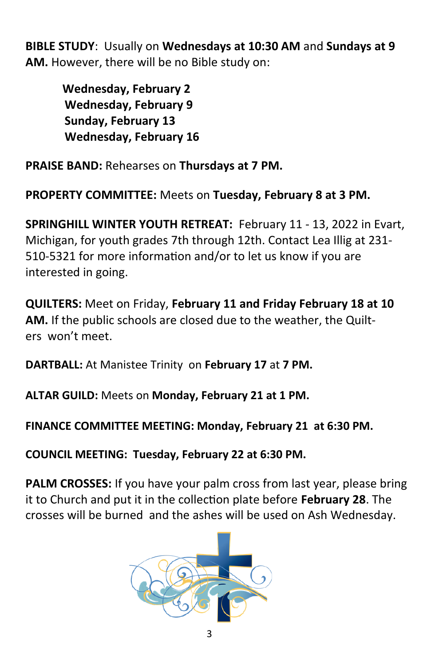**BIBLE STUDY**: Usually on **Wednesdays at 10:30 AM** and **Sundays at 9 AM.** However, there will be no Bible study on:

> **Wednesday, February 2 Wednesday, February 9 Sunday, February 13 Wednesday, February 16**

**PRAISE BAND:** Rehearses on **Thursdays at 7 PM.**

**PROPERTY COMMITTEE:** Meets on **Tuesday, February 8 at 3 PM.**

**SPRINGHILL WINTER YOUTH RETREAT:** February 11 - 13, 2022 in Evart, Michigan, for youth grades 7th through 12th. Contact Lea Illig at 231- 510-5321 for more information and/or to let us know if you are interested in going.

**QUILTERS:** Meet on Friday, **February 11 and Friday February 18 at 10 AM.** If the public schools are closed due to the weather, the Quilters won't meet.

**DARTBALL:** At Manistee Trinity on **February 17** at **7 PM.**

**ALTAR GUILD:** Meets on **Monday, February 21 at 1 PM.**

**FINANCE COMMITTEE MEETING: Monday, February 21 at 6:30 PM.**

**COUNCIL MEETING: Tuesday, February 22 at 6:30 PM.** 

**PALM CROSSES:** If you have your palm cross from last year, please bring it to Church and put it in the collection plate before **February 28**. The crosses will be burned and the ashes will be used on Ash Wednesday.

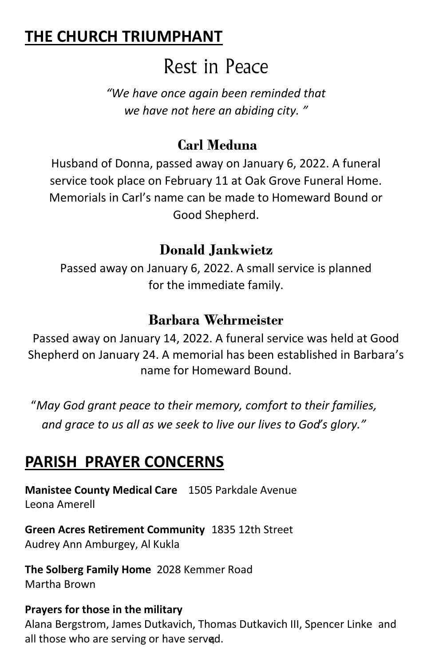### **THE CHURCH TRIUMPHANT**

### Rest in Peace

*"We have once again been reminded that we have not here an abiding city. "*

#### **Carl Meduna**

Husband of Donna, passed away on January 6, 2022. A funeral service took place on February 11 at Oak Grove Funeral Home. Memorials in Carl's name can be made to Homeward Bound or Good Shepherd.

#### **Donald Jankwietz**

Passed away on January 6, 2022. A small service is planned for the immediate family.

#### **Barbara Wehrmeister**

Passed away on January 14, 2022. A funeral service was held at Good Shepherd on January 24. A memorial has been established in Barbara's name for Homeward Bound.

"*May God grant peace to their memory, comfort to their families, and grace to us all as we seek to live our lives to God's glory."*

### **PARISH PRAYER CONCERNS**

**Manistee County Medical Care** 1505 Parkdale Avenue Leona Amerell

**Green Acres Retirement Community** 1835 12th Street Audrey Ann Amburgey, Al Kukla

**The Solberg Family Home** 2028 Kemmer Road Martha Brown

#### **Prayers for those in the military**

all those who are serving or have serv<mark>q</mark>d. Alana Bergstrom, James Dutkavich, Thomas Dutkavich III, Spencer Linke and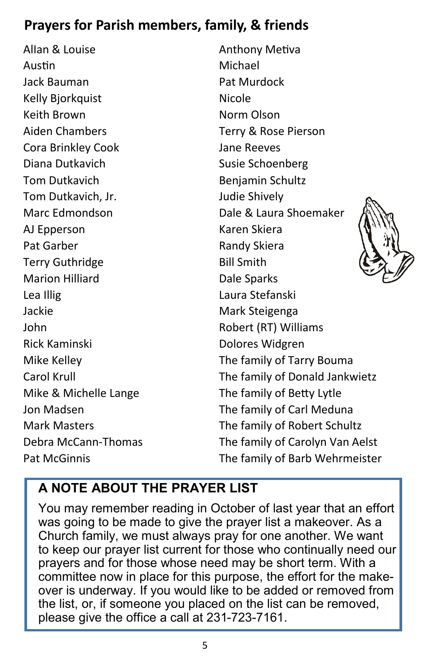### **Prayers for Parish members, family, & friends**

AlIan & Louise Austin Jack Bauman Kelly Bjorkquist Keith Brown Aiden Chambers Cora Brinkley Cook Diana Dutkavich Tom Dutkavich Tom Dutkavich, Jr. Marc Edmondson AJ Epperson Pat Garber Terry Guthridge Marion Hilliard Lea Illig Jackie John Rick Kaminski Mike Kelley Carol Krull Mike & Michelle Lange Jon Madsen Mark Masters Debra McCann-Thomas Pat McGinnis

Anthony Metiva Michael Pat Murdock Nicole Norm Olson Terry & Rose Pierson Jane Reeves Susie Schoenberg Benjamin Schultz Judie Shively Dale & Laura Shoemaker Karen Skiera Randy Skiera Bill Smith Dale Sparks Laura Stefanski Mark Steigenga Robert (RT) Williams Dolores Widgren The family of Tarry Bouma The family of Donald Jankwietz The family of Betty Lytle The family of Carl Meduna The family of Robert Schultz The family of Carolyn Van Aelst The family of Barb Wehrmeister

#### **A NOTE ABOUT THE PRAYER LIST**

You may remember reading in October of last year that an effort was going to be made to give the prayer list a makeover. As a Church family, we must always pray for one another. We want to keep our prayer list current for those who continually need our prayers and for those whose need may be short term. With a committee now in place for this purpose, the effort for the makeover is underway. If you would like to be added or removed from the list, or, if someone you placed on the list can be removed, please give the office a call at 231-723-7161.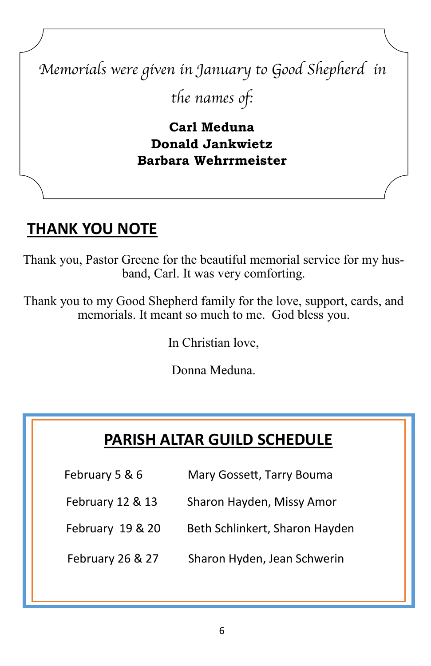# *Memorials were given in January to Good Shepherd in the names of:*

**Carl Meduna Donald Jankwietz Barbara Wehrrmeister**

### **THANK YOU NOTE**

Thank you, Pastor Greene for the beautiful memorial service for my husband, Carl. It was very comforting.

Thank you to my Good Shepherd family for the love, support, cards, and memorials. It meant so much to me. God bless you.

In Christian love,

Donna Meduna.

### **PARISH ALTAR GUILD SCHEDULE**

- February 5 & 6 Mary Gossett, Tarry Bouma
- February 12 & 13 Sharon Hayden, Missy Amor
	- February 19 & 20 Beth Schlinkert, Sharon Hayden
	- February 26 & 27 Sharon Hyden, Jean Schwerin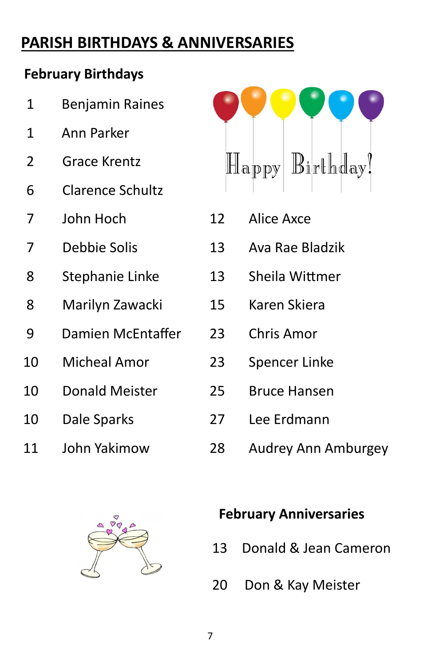### **PARISH BIRTHDAYS & ANNIVERSARIES**

#### **February Birthdays**

- 1 Ann Parker
- Grace Krentz
- Clarence Schultz
- John Hoch
- Debbie Solis
- Stephanie Linke
- Marilyn Zawacki
- 9 Damien McEntaffer
- Micheal Amor
- Donald Meister
- Dale Sparks
- John Yakimow



- Alice Axce
- Ava Rae Bladzik
- Sheila Wittmer
- Karen Skiera
- Chris Amor
- Spencer Linke
- Bruce Hansen
	- Lee Erdmann
	- Audrey Ann Amburgey



#### **February Anniversaries**

- 13 Donald & Jean Cameron
- 20 Don & Kay Meister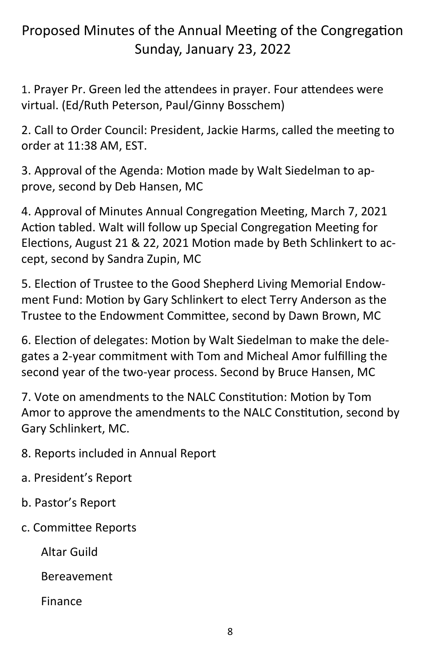#### Proposed Minutes of the Annual Meeting of the Congregation Sunday, January 23, 2022

1. Prayer Pr. Green led the attendees in prayer. Four attendees were virtual. (Ed/Ruth Peterson, Paul/Ginny Bosschem)

2. Call to Order Council: President, Jackie Harms, called the meeting to order at 11:38 AM, EST.

3. Approval of the Agenda: Motion made by Walt Siedelman to approve, second by Deb Hansen, MC

4. Approval of Minutes Annual Congregation Meeting, March 7, 2021 Action tabled. Walt will follow up Special Congregation Meeting for Elections, August 21 & 22, 2021 Motion made by Beth Schlinkert to accept, second by Sandra Zupin, MC

5. Election of Trustee to the Good Shepherd Living Memorial Endowment Fund: Motion by Gary Schlinkert to elect Terry Anderson as the Trustee to the Endowment Committee, second by Dawn Brown, MC

6. Election of delegates: Motion by Walt Siedelman to make the delegates a 2-year commitment with Tom and Micheal Amor fulfilling the second year of the two-year process. Second by Bruce Hansen, MC

7. Vote on amendments to the NALC Constitution: Motion by Tom Amor to approve the amendments to the NALC Constitution, second by Gary Schlinkert, MC.

8. Reports included in Annual Report

- a. President's Report
- b. Pastor's Report
- c. Committee Reports

Altar Guild

Bereavement

Finance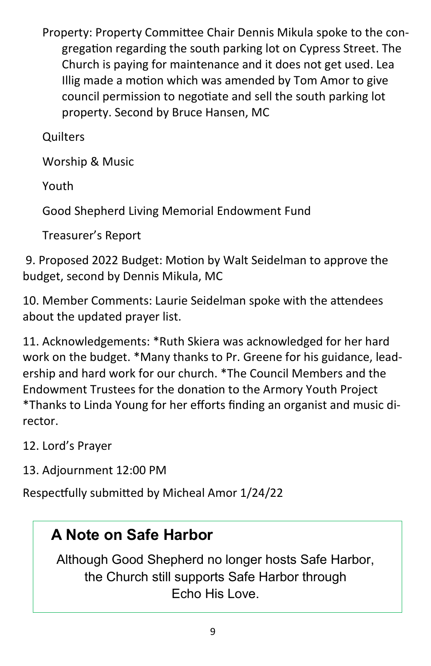Property: Property Committee Chair Dennis Mikula spoke to the congregation regarding the south parking lot on Cypress Street. The Church is paying for maintenance and it does not get used. Lea Illig made a motion which was amended by Tom Amor to give council permission to negotiate and sell the south parking lot property. Second by Bruce Hansen, MC

**Ouilters** 

Worship & Music

Youth

Good Shepherd Living Memorial Endowment Fund

Treasurer's Report

9. Proposed 2022 Budget: Motion by Walt Seidelman to approve the budget, second by Dennis Mikula, MC

10. Member Comments: Laurie Seidelman spoke with the attendees about the updated prayer list.

11. Acknowledgements: \*Ruth Skiera was acknowledged for her hard work on the budget. \*Many thanks to Pr. Greene for his guidance, leadership and hard work for our church. \*The Council Members and the Endowment Trustees for the donation to the Armory Youth Project \*Thanks to Linda Young for her efforts finding an organist and music director.

12. Lord's Prayer

13. Adjournment 12:00 PM

Respectfully submitted by Micheal Amor 1/24/22

### **A Note on Safe Harbor**

Although Good Shepherd no longer hosts Safe Harbor, the Church still supports Safe Harbor through Echo His Love.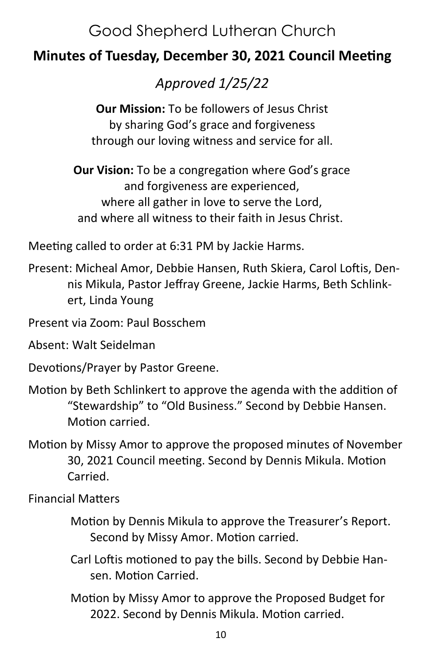### Good Shepherd Lutheran Church

#### **Minutes of Tuesday, December 30, 2021 Council Meeting**

*Approved 1/25/22* 

**Our Mission:** To be followers of Jesus Christ by sharing God's grace and forgiveness through our loving witness and service for all.

**Our Vision:** To be a congregation where God's grace and forgiveness are experienced, where all gather in love to serve the Lord, and where all witness to their faith in Jesus Christ.

Meeting called to order at 6:31 PM by Jackie Harms.

Present: Micheal Amor, Debbie Hansen, Ruth Skiera, Carol Loftis, Dennis Mikula, Pastor Jeffray Greene, Jackie Harms, Beth Schlinkert, Linda Young

Present via Zoom: Paul Bosschem

Absent: Walt Seidelman

Devotions/Prayer by Pastor Greene.

- Motion by Beth Schlinkert to approve the agenda with the addition of "Stewardship" to "Old Business." Second by Debbie Hansen. Motion carried.
- Motion by Missy Amor to approve the proposed minutes of November 30, 2021 Council meeting. Second by Dennis Mikula. Motion Carried.

Financial Matters

- Motion by Dennis Mikula to approve the Treasurer's Report. Second by Missy Amor. Motion carried.
- Carl Loftis motioned to pay the bills. Second by Debbie Hansen. Motion Carried.
- Motion by Missy Amor to approve the Proposed Budget for 2022. Second by Dennis Mikula. Motion carried.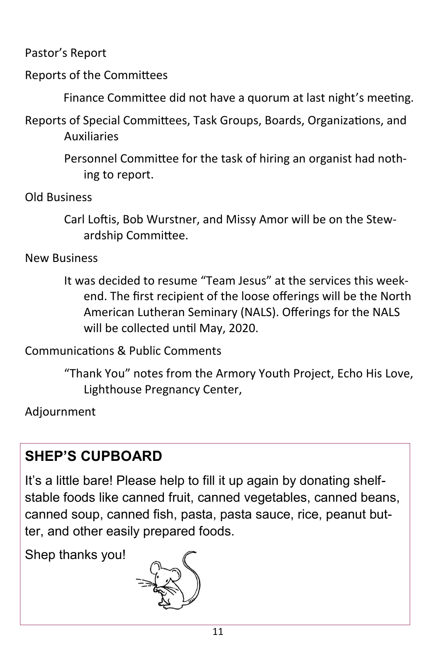Pastor's Report

Reports of the Committees

Finance Committee did not have a quorum at last night's meeting.

Reports of Special Committees, Task Groups, Boards, Organizations, and Auxiliaries

> Personnel Committee for the task of hiring an organist had nothing to report.

Old Business

Carl Loftis, Bob Wurstner, and Missy Amor will be on the Stewardship Committee.

New Business

It was decided to resume "Team Jesus" at the services this weekend. The first recipient of the loose offerings will be the North American Lutheran Seminary (NALS). Offerings for the NALS will be collected until May, 2020.

Communications & Public Comments

"Thank You" notes from the Armory Youth Project, Echo His Love, Lighthouse Pregnancy Center,

Adjournment

### **SHEP'S CUPBOARD**

It's a little bare! Please help to fill it up again by donating shelfstable foods like canned fruit, canned vegetables, canned beans, canned soup, canned fish, pasta, pasta sauce, rice, peanut butter, and other easily prepared foods.

Shep thanks you!